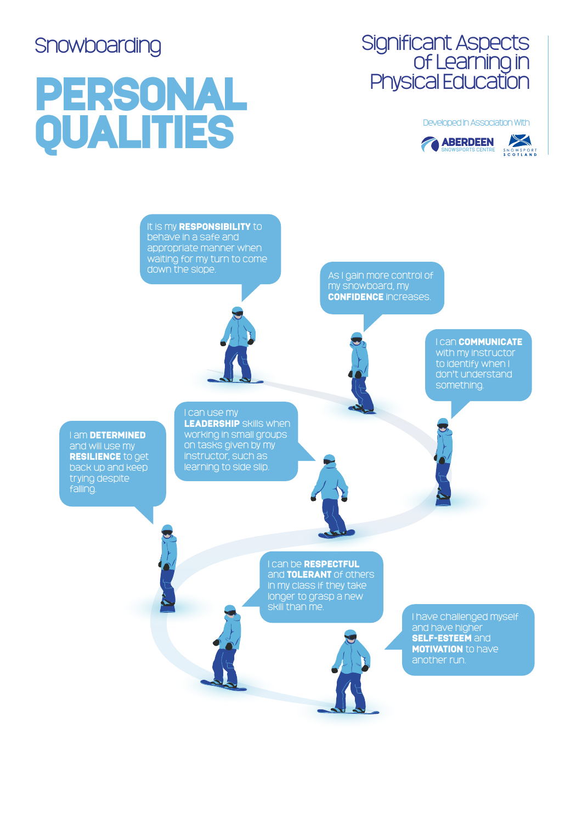## PERSONAL Developed In Association With<br>
COMBERDEEN





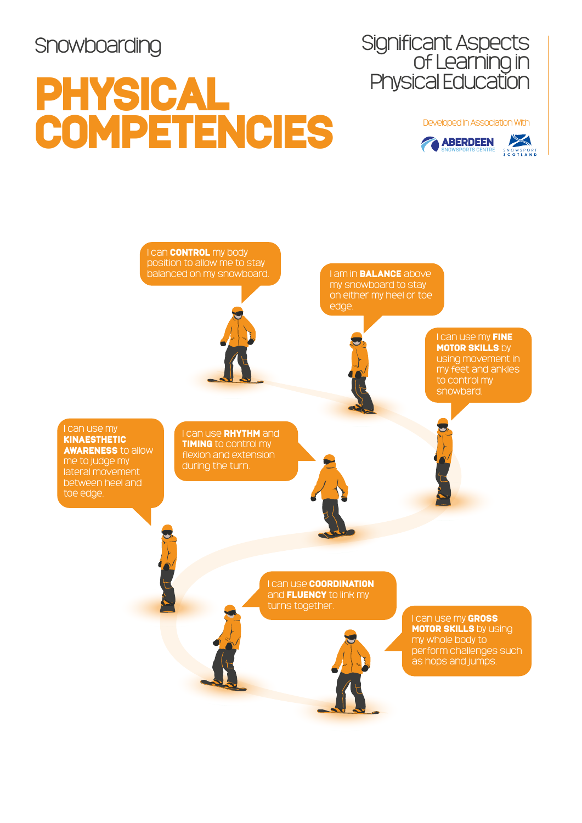## PHYSICAL COMPETENCIES Developed In Association With



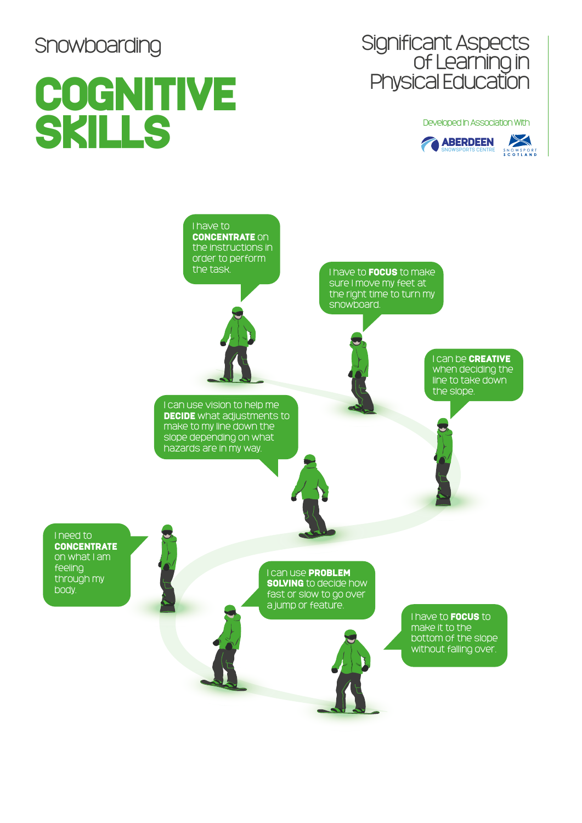body.

## **COGNITIVE** SKILLS Developed In Association With<br>
CABERDEEN<br>
SNOWSPORTS CENTRE